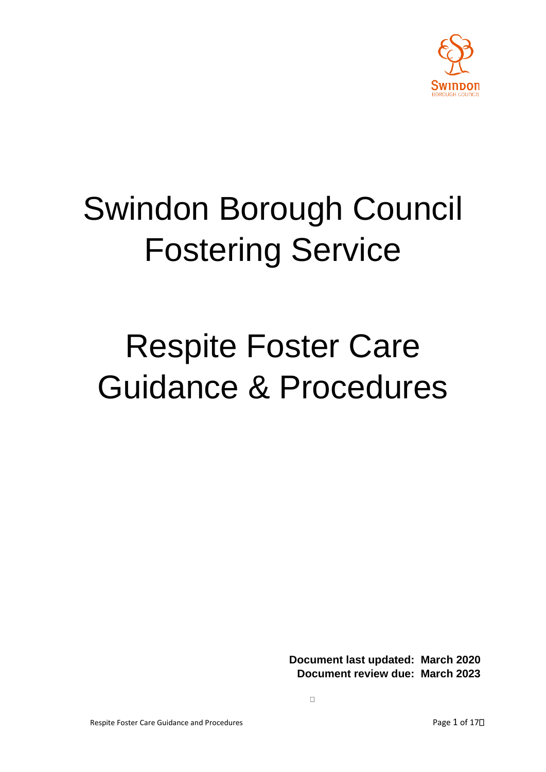

# Swindon Borough Council Fostering Service

# Respite Foster Care Guidance & Procedures

**Document last updated: March 2020 Document review due: March 2023**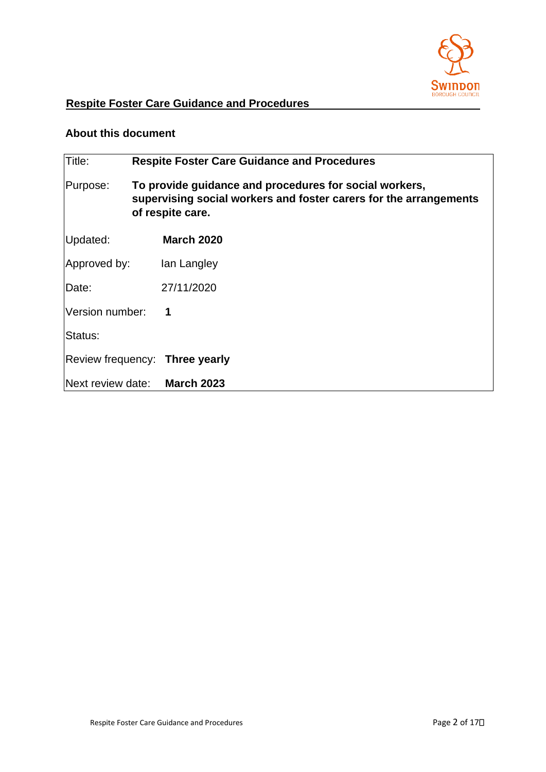

# **Respite Foster Care Guidance and Procedures**

#### **About this document**

| Title:            | <b>Respite Foster Care Guidance and Procedures</b>                                                                                              |                                |
|-------------------|-------------------------------------------------------------------------------------------------------------------------------------------------|--------------------------------|
| Purpose:          | To provide guidance and procedures for social workers,<br>supervising social workers and foster carers for the arrangements<br>of respite care. |                                |
| Updated:          |                                                                                                                                                 | <b>March 2020</b>              |
| Approved by:      |                                                                                                                                                 | lan Langley                    |
| Date:             |                                                                                                                                                 | 27/11/2020                     |
| Version number:   |                                                                                                                                                 | 1                              |
| Status:           |                                                                                                                                                 |                                |
|                   |                                                                                                                                                 | Review frequency: Three yearly |
| Next review date: |                                                                                                                                                 | <b>March 2023</b>              |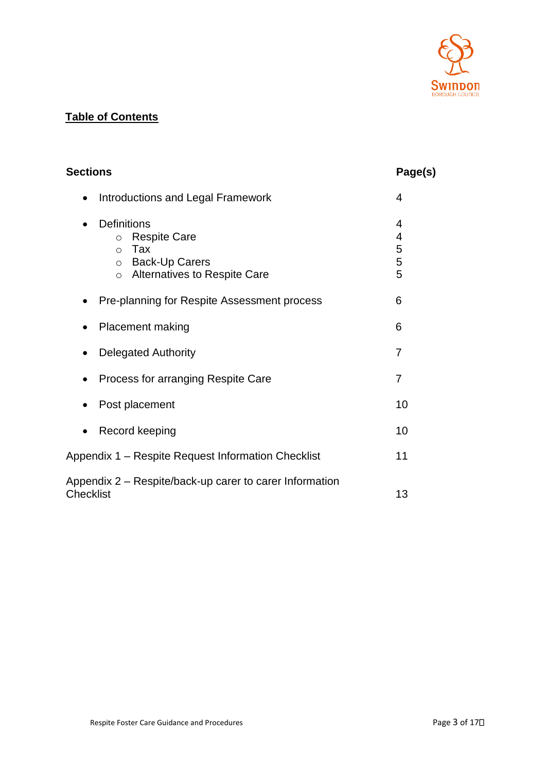

## **Table of Contents**

| <b>Sections</b>                                                                                                                                              | Page(s)               |
|--------------------------------------------------------------------------------------------------------------------------------------------------------------|-----------------------|
| <b>Introductions and Legal Framework</b><br>$\bullet$                                                                                                        | 4                     |
| <b>Definitions</b><br><b>Respite Care</b><br>$\circ$<br>Tax<br>$\circ$<br><b>Back-Up Carers</b><br>$\circ$<br><b>Alternatives to Respite Care</b><br>$\circ$ | 4<br>4<br>5<br>5<br>5 |
| Pre-planning for Respite Assessment process                                                                                                                  | 6                     |
| <b>Placement making</b>                                                                                                                                      | 6                     |
| <b>Delegated Authority</b>                                                                                                                                   | $\overline{7}$        |
| Process for arranging Respite Care                                                                                                                           | 7                     |
| Post placement                                                                                                                                               | 10                    |
| Record keeping                                                                                                                                               | 10                    |
| Appendix 1 – Respite Request Information Checklist                                                                                                           | 11                    |
| Appendix 2 - Respite/back-up carer to carer Information<br><b>Checklist</b>                                                                                  | 13                    |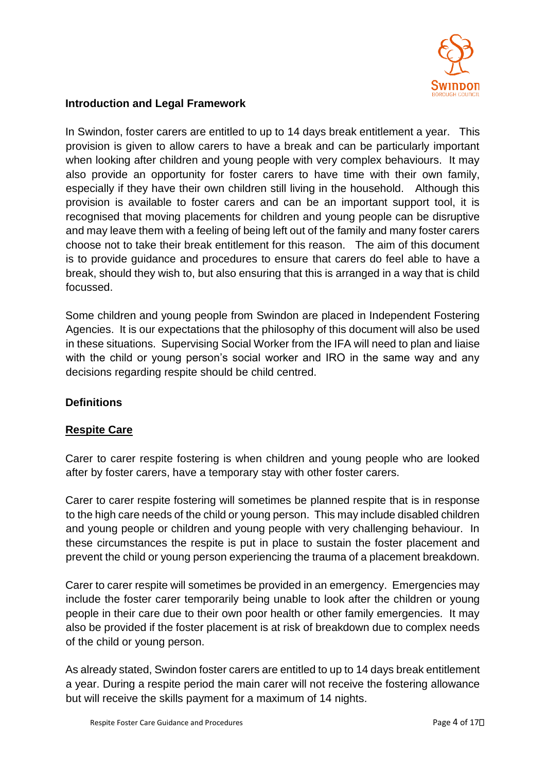

#### **Introduction and Legal Framework**

In Swindon, foster carers are entitled to up to 14 days break entitlement a year. This provision is given to allow carers to have a break and can be particularly important when looking after children and young people with very complex behaviours. It may also provide an opportunity for foster carers to have time with their own family, especially if they have their own children still living in the household. Although this provision is available to foster carers and can be an important support tool, it is recognised that moving placements for children and young people can be disruptive and may leave them with a feeling of being left out of the family and many foster carers choose not to take their break entitlement for this reason. The aim of this document is to provide guidance and procedures to ensure that carers do feel able to have a break, should they wish to, but also ensuring that this is arranged in a way that is child focussed.

Some children and young people from Swindon are placed in Independent Fostering Agencies. It is our expectations that the philosophy of this document will also be used in these situations. Supervising Social Worker from the IFA will need to plan and liaise with the child or young person's social worker and IRO in the same way and any decisions regarding respite should be child centred.

#### **Definitions**

#### **Respite Care**

Carer to carer respite fostering is when children and young people who are looked after by foster carers, have a temporary stay with other foster carers.

Carer to carer respite fostering will sometimes be planned respite that is in response to the high care needs of the child or young person. This may include disabled children and young people or children and young people with very challenging behaviour. In these circumstances the respite is put in place to sustain the foster placement and prevent the child or young person experiencing the trauma of a placement breakdown.

Carer to carer respite will sometimes be provided in an emergency. Emergencies may include the foster carer temporarily being unable to look after the children or young people in their care due to their own poor health or other family emergencies. It may also be provided if the foster placement is at risk of breakdown due to complex needs of the child or young person.

As already stated, Swindon foster carers are entitled to up to 14 days break entitlement a year. During a respite period the main carer will not receive the fostering allowance but will receive the skills payment for a maximum of 14 nights.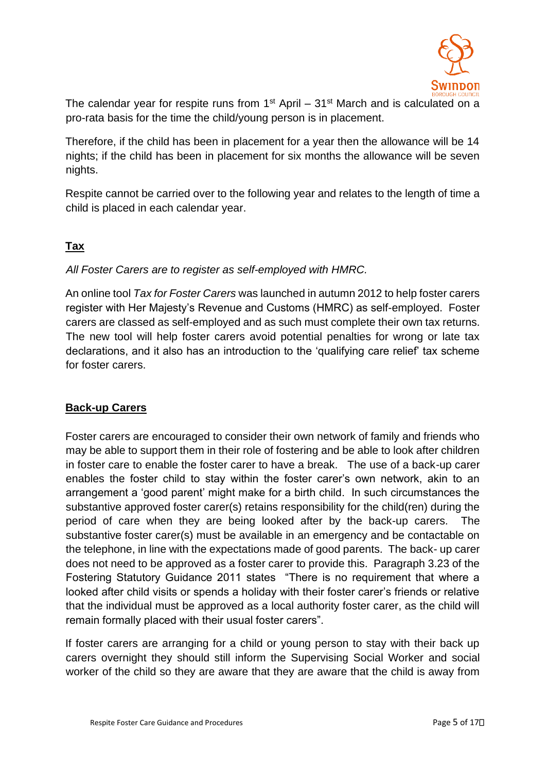

The calendar year for respite runs from  $1<sup>st</sup>$  April –  $31<sup>st</sup>$  March and is calculated on a pro-rata basis for the time the child/young person is in placement.

Therefore, if the child has been in placement for a year then the allowance will be 14 nights; if the child has been in placement for six months the allowance will be seven nights.

Respite cannot be carried over to the following year and relates to the length of time a child is placed in each calendar year.

### **Tax**

#### *All Foster Carers are to register as self-employed with HMRC.*

An online tool *Tax for Foster Carers* was launched in autumn 2012 to help foster carers register with Her Majesty's Revenue and Customs (HMRC) as self-employed. Foster carers are classed as self-employed and as such must complete their own tax returns. The new tool will help foster carers avoid potential penalties for wrong or late tax declarations, and it also has an introduction to the 'qualifying care relief' tax scheme for foster carers.

#### **Back-up Carers**

Foster carers are encouraged to consider their own network of family and friends who may be able to support them in their role of fostering and be able to look after children in foster care to enable the foster carer to have a break. The use of a back-up carer enables the foster child to stay within the foster carer's own network, akin to an arrangement a 'good parent' might make for a birth child. In such circumstances the substantive approved foster carer(s) retains responsibility for the child(ren) during the period of care when they are being looked after by the back-up carers. The substantive foster carer(s) must be available in an emergency and be contactable on the telephone, in line with the expectations made of good parents. The back- up carer does not need to be approved as a foster carer to provide this. Paragraph 3.23 of the Fostering Statutory Guidance 2011 states "There is no requirement that where a looked after child visits or spends a holiday with their foster carer's friends or relative that the individual must be approved as a local authority foster carer, as the child will remain formally placed with their usual foster carers".

If foster carers are arranging for a child or young person to stay with their back up carers overnight they should still inform the Supervising Social Worker and social worker of the child so they are aware that they are aware that the child is away from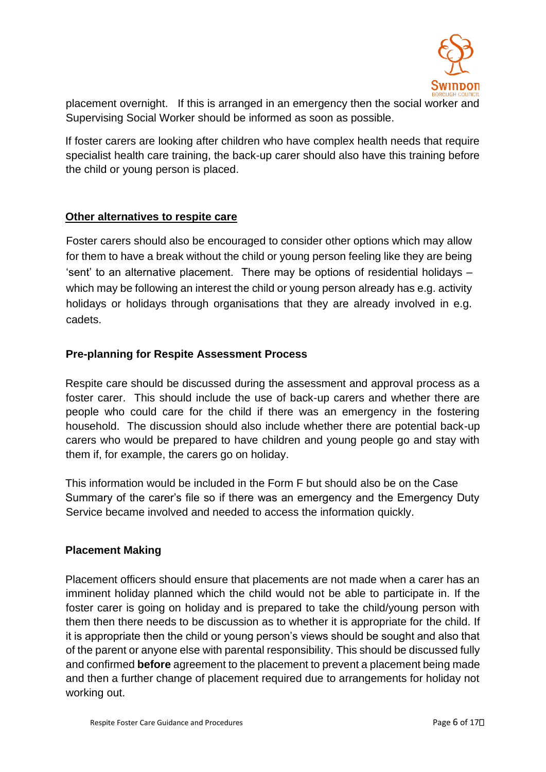

placement overnight. If this is arranged in an emergency then the social worker and Supervising Social Worker should be informed as soon as possible.

If foster carers are looking after children who have complex health needs that require specialist health care training, the back-up carer should also have this training before the child or young person is placed.

#### **Other alternatives to respite care**

Foster carers should also be encouraged to consider other options which may allow for them to have a break without the child or young person feeling like they are being 'sent' to an alternative placement. There may be options of residential holidays – which may be following an interest the child or young person already has e.g. activity holidays or holidays through organisations that they are already involved in e.g. cadets.

#### **Pre-planning for Respite Assessment Process**

Respite care should be discussed during the assessment and approval process as a foster carer. This should include the use of back-up carers and whether there are people who could care for the child if there was an emergency in the fostering household. The discussion should also include whether there are potential back-up carers who would be prepared to have children and young people go and stay with them if, for example, the carers go on holiday.

This information would be included in the Form F but should also be on the Case Summary of the carer's file so if there was an emergency and the Emergency Duty Service became involved and needed to access the information quickly.

#### **Placement Making**

Placement officers should ensure that placements are not made when a carer has an imminent holiday planned which the child would not be able to participate in. If the foster carer is going on holiday and is prepared to take the child/young person with them then there needs to be discussion as to whether it is appropriate for the child. If it is appropriate then the child or young person's views should be sought and also that of the parent or anyone else with parental responsibility. This should be discussed fully and confirmed **before** agreement to the placement to prevent a placement being made and then a further change of placement required due to arrangements for holiday not working out.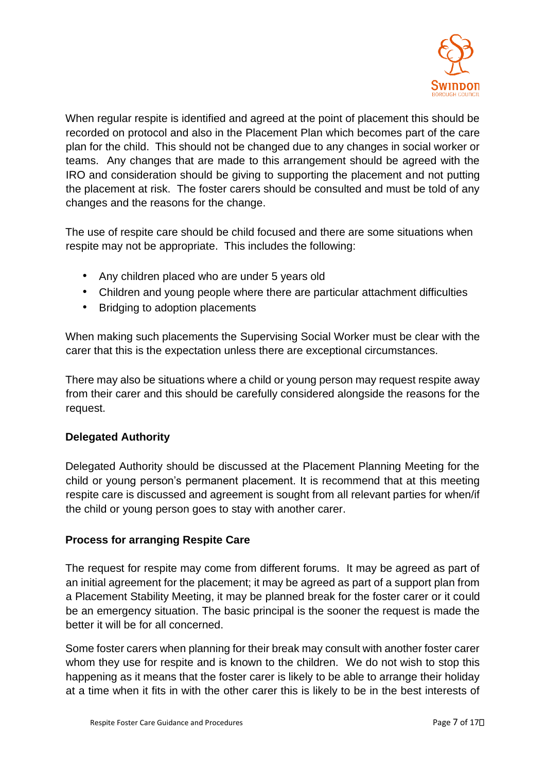

When regular respite is identified and agreed at the point of placement this should be recorded on protocol and also in the Placement Plan which becomes part of the care plan for the child. This should not be changed due to any changes in social worker or teams. Any changes that are made to this arrangement should be agreed with the IRO and consideration should be giving to supporting the placement and not putting the placement at risk. The foster carers should be consulted and must be told of any changes and the reasons for the change.

The use of respite care should be child focused and there are some situations when respite may not be appropriate. This includes the following:

- Any children placed who are under 5 years old
- Children and young people where there are particular attachment difficulties
- Bridging to adoption placements

When making such placements the Supervising Social Worker must be clear with the carer that this is the expectation unless there are exceptional circumstances.

There may also be situations where a child or young person may request respite away from their carer and this should be carefully considered alongside the reasons for the request.

#### **Delegated Authority**

Delegated Authority should be discussed at the Placement Planning Meeting for the child or young person's permanent placement. It is recommend that at this meeting respite care is discussed and agreement is sought from all relevant parties for when/if the child or young person goes to stay with another carer.

#### **Process for arranging Respite Care**

The request for respite may come from different forums. It may be agreed as part of an initial agreement for the placement; it may be agreed as part of a support plan from a Placement Stability Meeting, it may be planned break for the foster carer or it could be an emergency situation. The basic principal is the sooner the request is made the better it will be for all concerned.

Some foster carers when planning for their break may consult with another foster carer whom they use for respite and is known to the children. We do not wish to stop this happening as it means that the foster carer is likely to be able to arrange their holiday at a time when it fits in with the other carer this is likely to be in the best interests of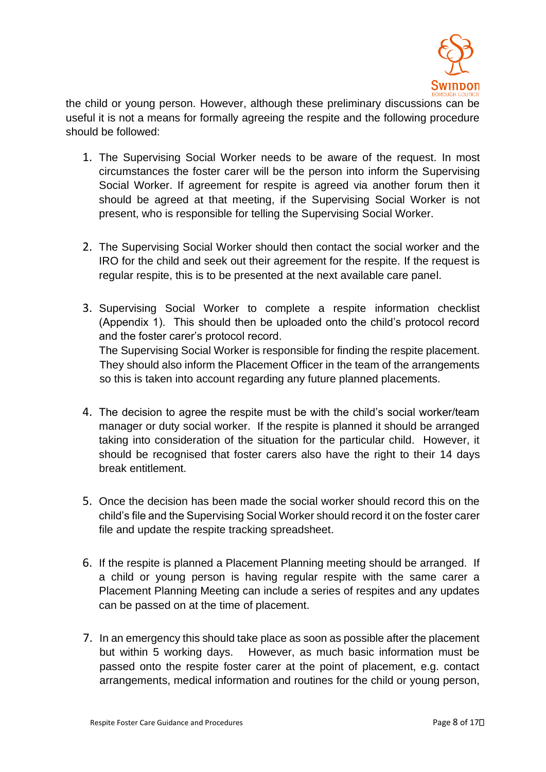

the child or young person. However, although these preliminary discussions can be useful it is not a means for formally agreeing the respite and the following procedure should be followed:

- 1. The Supervising Social Worker needs to be aware of the request. In most circumstances the foster carer will be the person into inform the Supervising Social Worker. If agreement for respite is agreed via another forum then it should be agreed at that meeting, if the Supervising Social Worker is not present, who is responsible for telling the Supervising Social Worker.
- 2. The Supervising Social Worker should then contact the social worker and the IRO for the child and seek out their agreement for the respite. If the request is regular respite, this is to be presented at the next available care panel.
- 3. Supervising Social Worker to complete a respite information checklist (Appendix 1). This should then be uploaded onto the child's protocol record and the foster carer's protocol record. The Supervising Social Worker is responsible for finding the respite placement. They should also inform the Placement Officer in the team of the arrangements so this is taken into account regarding any future planned placements.
- 4. The decision to agree the respite must be with the child's social worker/team manager or duty social worker. If the respite is planned it should be arranged taking into consideration of the situation for the particular child. However, it should be recognised that foster carers also have the right to their 14 days break entitlement.
- 5. Once the decision has been made the social worker should record this on the child's file and the Supervising Social Worker should record it on the foster carer file and update the respite tracking spreadsheet.
- 6. If the respite is planned a Placement Planning meeting should be arranged. If a child or young person is having regular respite with the same carer a Placement Planning Meeting can include a series of respites and any updates can be passed on at the time of placement.
- 7. In an emergency this should take place as soon as possible after the placement but within 5 working days. However, as much basic information must be passed onto the respite foster carer at the point of placement, e.g. contact arrangements, medical information and routines for the child or young person,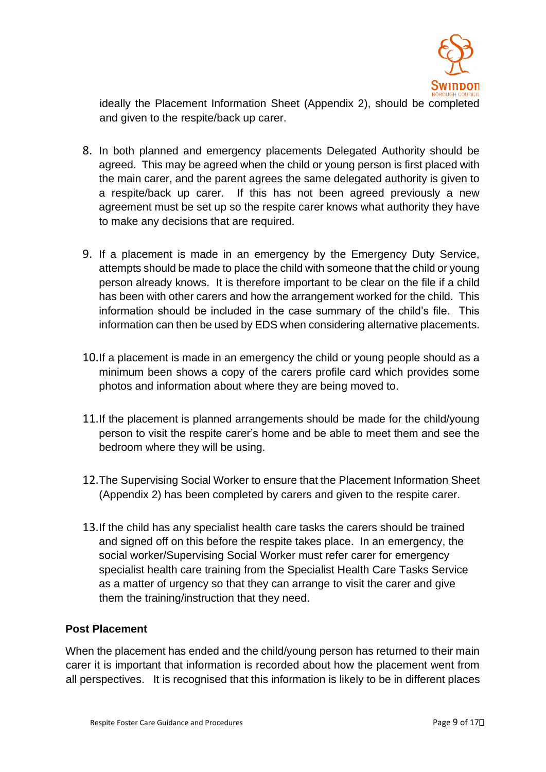

ideally the Placement Information Sheet (Appendix 2), should be completed and given to the respite/back up carer.

- 8. In both planned and emergency placements Delegated Authority should be agreed. This may be agreed when the child or young person is first placed with the main carer, and the parent agrees the same delegated authority is given to a respite/back up carer. If this has not been agreed previously a new agreement must be set up so the respite carer knows what authority they have to make any decisions that are required.
- 9. If a placement is made in an emergency by the Emergency Duty Service, attempts should be made to place the child with someone that the child or young person already knows. It is therefore important to be clear on the file if a child has been with other carers and how the arrangement worked for the child. This information should be included in the case summary of the child's file. This information can then be used by EDS when considering alternative placements.
- 10.If a placement is made in an emergency the child or young people should as a minimum been shows a copy of the carers profile card which provides some photos and information about where they are being moved to.
- 11.If the placement is planned arrangements should be made for the child/young person to visit the respite carer's home and be able to meet them and see the bedroom where they will be using.
- 12.The Supervising Social Worker to ensure that the Placement Information Sheet (Appendix 2) has been completed by carers and given to the respite carer.
- 13.If the child has any specialist health care tasks the carers should be trained and signed off on this before the respite takes place. In an emergency, the social worker/Supervising Social Worker must refer carer for emergency specialist health care training from the Specialist Health Care Tasks Service as a matter of urgency so that they can arrange to visit the carer and give them the training/instruction that they need.

#### **Post Placement**

When the placement has ended and the child/young person has returned to their main carer it is important that information is recorded about how the placement went from all perspectives. It is recognised that this information is likely to be in different places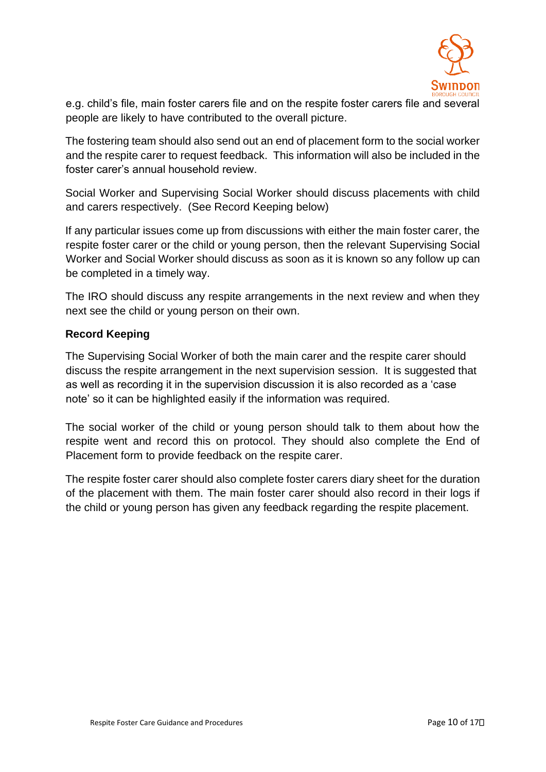

e.g. child's file, main foster carers file and on the respite foster carers file and several people are likely to have contributed to the overall picture.

The fostering team should also send out an end of placement form to the social worker and the respite carer to request feedback. This information will also be included in the foster carer's annual household review.

Social Worker and Supervising Social Worker should discuss placements with child and carers respectively. (See Record Keeping below)

If any particular issues come up from discussions with either the main foster carer, the respite foster carer or the child or young person, then the relevant Supervising Social Worker and Social Worker should discuss as soon as it is known so any follow up can be completed in a timely way.

The IRO should discuss any respite arrangements in the next review and when they next see the child or young person on their own.

#### **Record Keeping**

The Supervising Social Worker of both the main carer and the respite carer should discuss the respite arrangement in the next supervision session. It is suggested that as well as recording it in the supervision discussion it is also recorded as a 'case note' so it can be highlighted easily if the information was required.

The social worker of the child or young person should talk to them about how the respite went and record this on protocol. They should also complete the End of Placement form to provide feedback on the respite carer.

The respite foster carer should also complete foster carers diary sheet for the duration of the placement with them. The main foster carer should also record in their logs if the child or young person has given any feedback regarding the respite placement.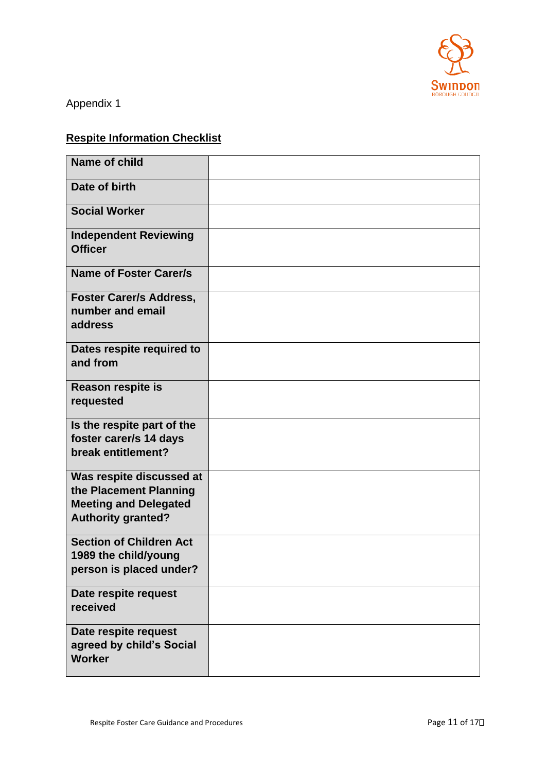

Appendix 1

# **Respite Information Checklist**

| <b>Name of child</b>                                                                                            |  |
|-----------------------------------------------------------------------------------------------------------------|--|
| Date of birth                                                                                                   |  |
| <b>Social Worker</b>                                                                                            |  |
| <b>Independent Reviewing</b><br><b>Officer</b>                                                                  |  |
| <b>Name of Foster Carer/s</b>                                                                                   |  |
| <b>Foster Carer/s Address,</b><br>number and email<br>address                                                   |  |
| Dates respite required to<br>and from                                                                           |  |
| Reason respite is<br>requested                                                                                  |  |
| Is the respite part of the<br>foster carer/s 14 days<br>break entitlement?                                      |  |
| Was respite discussed at<br>the Placement Planning<br><b>Meeting and Delegated</b><br><b>Authority granted?</b> |  |
| <b>Section of Children Act</b><br>1989 the child/young<br>person is placed under?                               |  |
| Date respite request<br>received                                                                                |  |
| Date respite request<br>agreed by child's Social<br><b>Worker</b>                                               |  |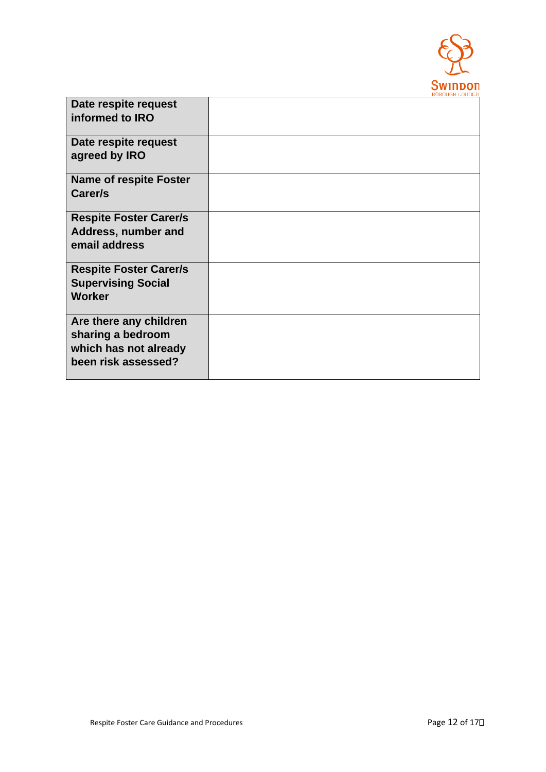

| Date respite request<br>informed to IRO                                                     |  |
|---------------------------------------------------------------------------------------------|--|
| Date respite request<br>agreed by IRO                                                       |  |
| <b>Name of respite Foster</b><br>Carer/s                                                    |  |
| <b>Respite Foster Carer/s</b><br>Address, number and<br>email address                       |  |
| <b>Respite Foster Carer/s</b><br><b>Supervising Social</b><br><b>Worker</b>                 |  |
| Are there any children<br>sharing a bedroom<br>which has not already<br>been risk assessed? |  |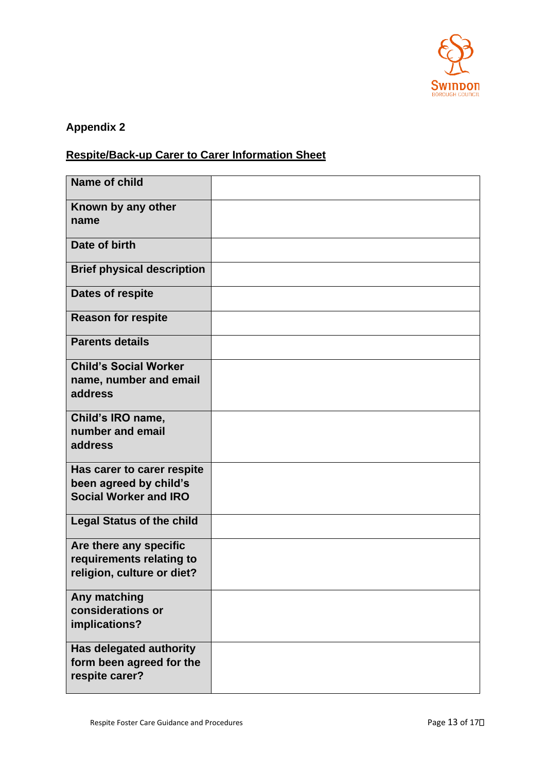

# **Appendix 2**

# **Respite/Back-up Carer to Carer Information Sheet**

| Name of child                                                                        |  |
|--------------------------------------------------------------------------------------|--|
| Known by any other<br>name                                                           |  |
| Date of birth                                                                        |  |
| <b>Brief physical description</b>                                                    |  |
| <b>Dates of respite</b>                                                              |  |
| <b>Reason for respite</b>                                                            |  |
| <b>Parents details</b>                                                               |  |
| <b>Child's Social Worker</b><br>name, number and email<br>address                    |  |
| Child's IRO name,<br>number and email<br>address                                     |  |
| Has carer to carer respite<br>been agreed by child's<br><b>Social Worker and IRO</b> |  |
| <b>Legal Status of the child</b>                                                     |  |
| Are there any specific<br>requirements relating to<br>religion, culture or diet?     |  |
| Any matching<br>considerations or<br>implications?                                   |  |
| <b>Has delegated authority</b><br>form been agreed for the<br>respite carer?         |  |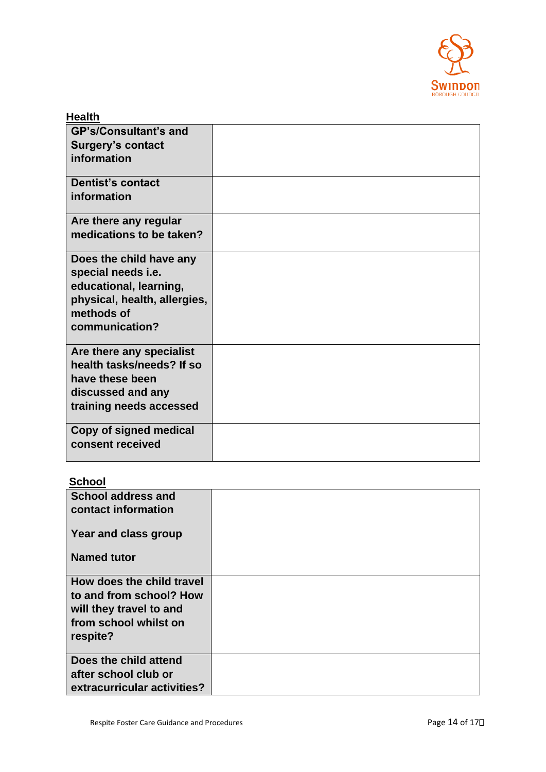

| <b>Health</b>                              |  |
|--------------------------------------------|--|
| <b>GP's/Consultant's and</b>               |  |
| <b>Surgery's contact</b>                   |  |
| information                                |  |
| <b>Dentist's contact</b>                   |  |
| information                                |  |
| Are there any regular                      |  |
| medications to be taken?                   |  |
| Does the child have any                    |  |
| special needs i.e.                         |  |
| educational, learning,                     |  |
| physical, health, allergies,<br>methods of |  |
| communication?                             |  |
|                                            |  |
| Are there any specialist                   |  |
| health tasks/needs? If so                  |  |
| have these been                            |  |
| discussed and any                          |  |
| training needs accessed                    |  |
| Copy of signed medical                     |  |
| consent received                           |  |
|                                            |  |

### **School**

| <b>School address and</b><br>contact information |  |
|--------------------------------------------------|--|
| Year and class group                             |  |
| <b>Named tutor</b>                               |  |
| How does the child travel                        |  |
| to and from school? How                          |  |
| will they travel to and                          |  |
| from school whilst on                            |  |
| respite?                                         |  |
| Does the child attend                            |  |
| after school club or                             |  |
| extracurricular activities?                      |  |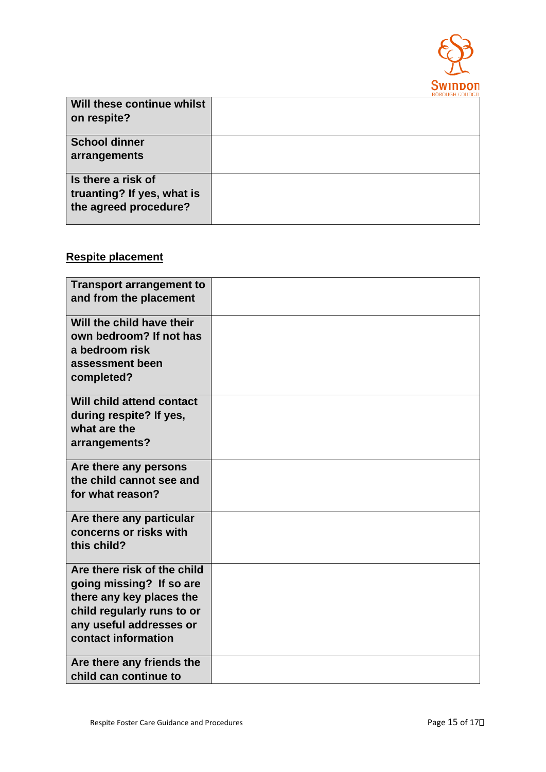

|                                                                           | --------------- |
|---------------------------------------------------------------------------|-----------------|
| Will these continue whilst<br>on respite?                                 |                 |
| <b>School dinner</b><br>arrangements                                      |                 |
| Is there a risk of<br>truanting? If yes, what is<br>the agreed procedure? |                 |

#### **Respite placement**

| <b>Transport arrangement to</b><br>and from the placement                                                                                                           |  |
|---------------------------------------------------------------------------------------------------------------------------------------------------------------------|--|
| Will the child have their<br>own bedroom? If not has<br>a bedroom risk<br>assessment been<br>completed?                                                             |  |
| Will child attend contact<br>during respite? If yes,<br>what are the<br>arrangements?                                                                               |  |
| Are there any persons<br>the child cannot see and<br>for what reason?                                                                                               |  |
| Are there any particular<br>concerns or risks with<br>this child?                                                                                                   |  |
| Are there risk of the child<br>going missing? If so are<br>there any key places the<br>child regularly runs to or<br>any useful addresses or<br>contact information |  |
| Are there any friends the<br>child can continue to                                                                                                                  |  |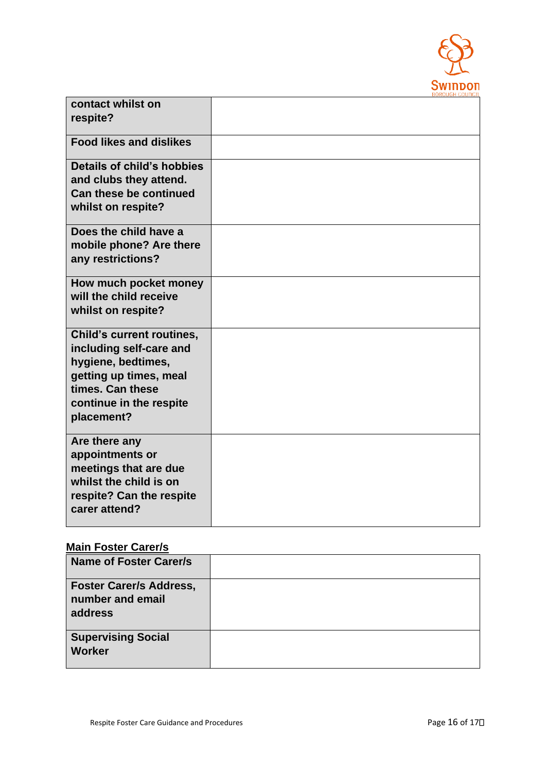

| contact whilst on                |  |
|----------------------------------|--|
| respite?                         |  |
|                                  |  |
| <b>Food likes and dislikes</b>   |  |
|                                  |  |
| Details of child's hobbies       |  |
| and clubs they attend.           |  |
| Can these be continued           |  |
| whilst on respite?               |  |
|                                  |  |
| Does the child have a            |  |
| mobile phone? Are there          |  |
| any restrictions?                |  |
|                                  |  |
| How much pocket money            |  |
| will the child receive           |  |
| whilst on respite?               |  |
|                                  |  |
| <b>Child's current routines,</b> |  |
| including self-care and          |  |
| hygiene, bedtimes,               |  |
| getting up times, meal           |  |
| times. Can these                 |  |
| continue in the respite          |  |
| placement?                       |  |
|                                  |  |
| Are there any                    |  |
| appointments or                  |  |
| meetings that are due            |  |
| whilst the child is on           |  |
| respite? Can the respite         |  |
| carer attend?                    |  |
|                                  |  |

## **Main Foster Carer/s**

| <b>Name of Foster Carer/s</b>                                 |  |
|---------------------------------------------------------------|--|
| <b>Foster Carer/s Address,</b><br>number and email<br>address |  |
| <b>Supervising Social</b><br><b>Worker</b>                    |  |